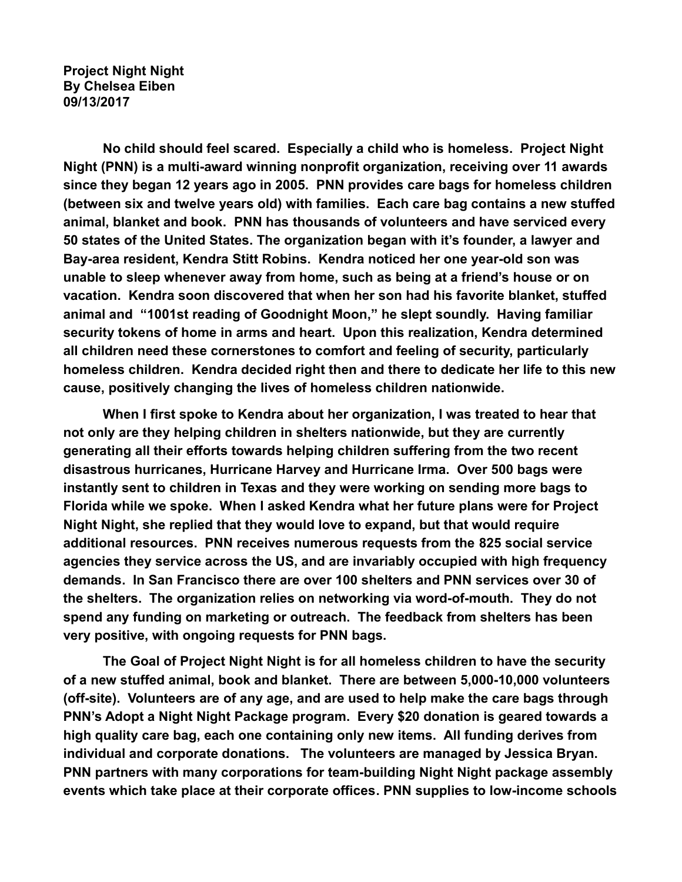**Project Night Night By Chelsea Eiben 09/13/2017**

**No child should feel scared. Especially a child who is homeless. Project Night Night (PNN) is a multi-award winning nonprofit organization, receiving over 11 awards since they began 12 years ago in 2005. PNN provides care bags for homeless children (between six and twelve years old) with families. Each care bag contains a new stuffed animal, blanket and book. PNN has thousands of volunteers and have serviced every 50 states of the United States. The organization began with it's founder, a lawyer and Bay-area resident, Kendra Stitt Robins. Kendra noticed her one year-old son was unable to sleep whenever away from home, such as being at a friend's house or on vacation. Kendra soon discovered that when her son had his favorite blanket, stuffed animal and "1001st reading of Goodnight Moon," he slept soundly. Having familiar security tokens of home in arms and heart. Upon this realization, Kendra determined all children need these cornerstones to comfort and feeling of security, particularly homeless children. Kendra decided right then and there to dedicate her life to this new cause, positively changing the lives of homeless children nationwide.** 

**When I first spoke to Kendra about her organization, I was treated to hear that not only are they helping children in shelters nationwide, but they are currently generating all their efforts towards helping children suffering from the two recent disastrous hurricanes, Hurricane Harvey and Hurricane Irma. Over 500 bags were instantly sent to children in Texas and they were working on sending more bags to Florida while we spoke. When I asked Kendra what her future plans were for Project Night Night, she replied that they would love to expand, but that would require additional resources. PNN receives numerous requests from the 825 social service agencies they service across the US, and are invariably occupied with high frequency demands. In San Francisco there are over 100 shelters and PNN services over 30 of the shelters. The organization relies on networking via word-of-mouth. They do not spend any funding on marketing or outreach. The feedback from shelters has been very positive, with ongoing requests for PNN bags.** 

**The Goal of Project Night Night is for all homeless children to have the security of a new stuffed animal, book and blanket. There are between 5,000-10,000 volunteers (off-site). Volunteers are of any age, and are used to help make the care bags through PNN's Adopt a Night Night Package program. Every \$20 donation is geared towards a high quality care bag, each one containing only new items. All funding derives from individual and corporate donations. The volunteers are managed by Jessica Bryan. PNN partners with many corporations for team-building Night Night package assembly events which take place at their corporate offices. PNN supplies to low-income schools**